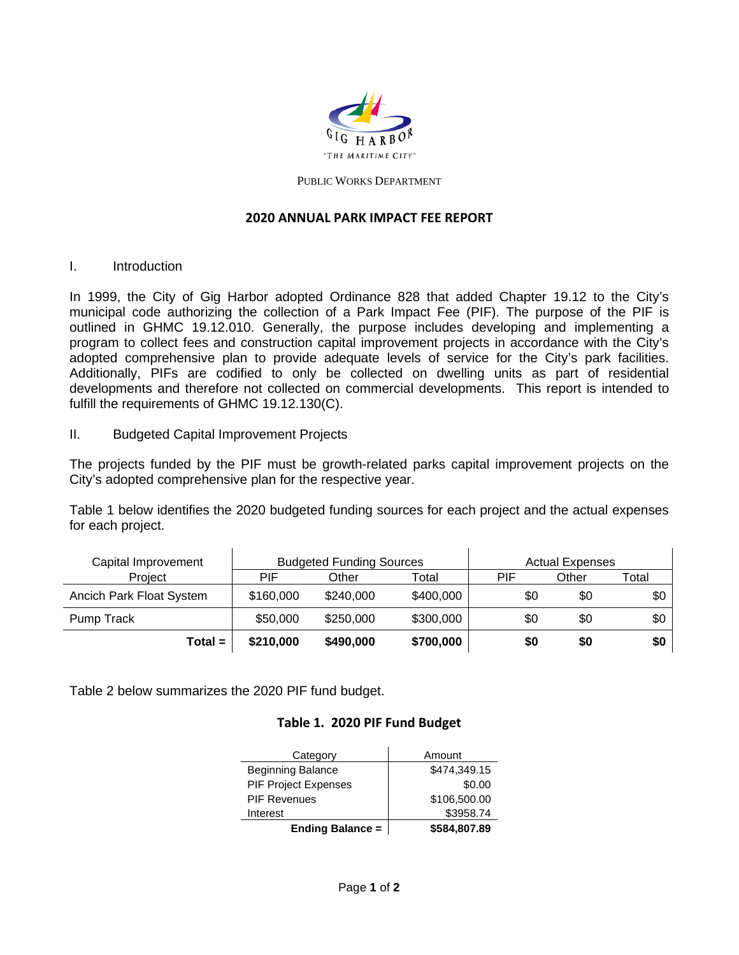

#### PUBLIC WORKS DEPARTMENT

#### **2020 ANNUAL PARK IMPACT FEE REPORT**

I. Introduction

In 1999, the City of Gig Harbor adopted Ordinance 828 that added Chapter 19.12 to the City's municipal code authorizing the collection of a Park Impact Fee (PIF). The purpose of the PIF is outlined in GHMC 19.12.010. Generally, the purpose includes developing and implementing a program to collect fees and construction capital improvement projects in accordance with the City's adopted comprehensive plan to provide adequate levels of service for the City's park facilities. Additionally, PIFs are codified to only be collected on dwelling units as part of residential developments and therefore not collected on commercial developments. This report is intended to fulfill the requirements of GHMC 19.12.130(C).

II. Budgeted Capital Improvement Projects

The projects funded by the PIF must be growth-related parks capital improvement projects on the City's adopted comprehensive plan for the respective year.

Table 1 below identifies the 2020 budgeted funding sources for each project and the actual expenses for each project.

| Capital Improvement      | <b>Budgeted Funding Sources</b> |           | <b>Actual Expenses</b> |     |       |       |
|--------------------------|---------------------------------|-----------|------------------------|-----|-------|-------|
| Project                  | PIF                             | Other     | Total                  | PIF | Other | Total |
| Ancich Park Float System | \$160,000                       | \$240,000 | \$400,000              | \$0 | \$0   | \$0   |
| Pump Track               | \$50,000                        | \$250,000 | \$300,000              | \$0 | \$0   | \$0   |
| $Total =$                | \$210,000                       | \$490,000 | \$700,000              | \$0 | \$0   | \$0   |

Table 2 below summarizes the 2020 PIF fund budget.

### **Table 1. 2020 PIF Fund Budget**

| Category                    | Amount       |  |  |
|-----------------------------|--------------|--|--|
| <b>Beginning Balance</b>    | \$474,349.15 |  |  |
| <b>PIF Project Expenses</b> | \$0.00       |  |  |
| <b>PIF Revenues</b>         | \$106,500.00 |  |  |
| Interest                    | \$3958.74    |  |  |
| <b>Ending Balance =</b>     | \$584,807.89 |  |  |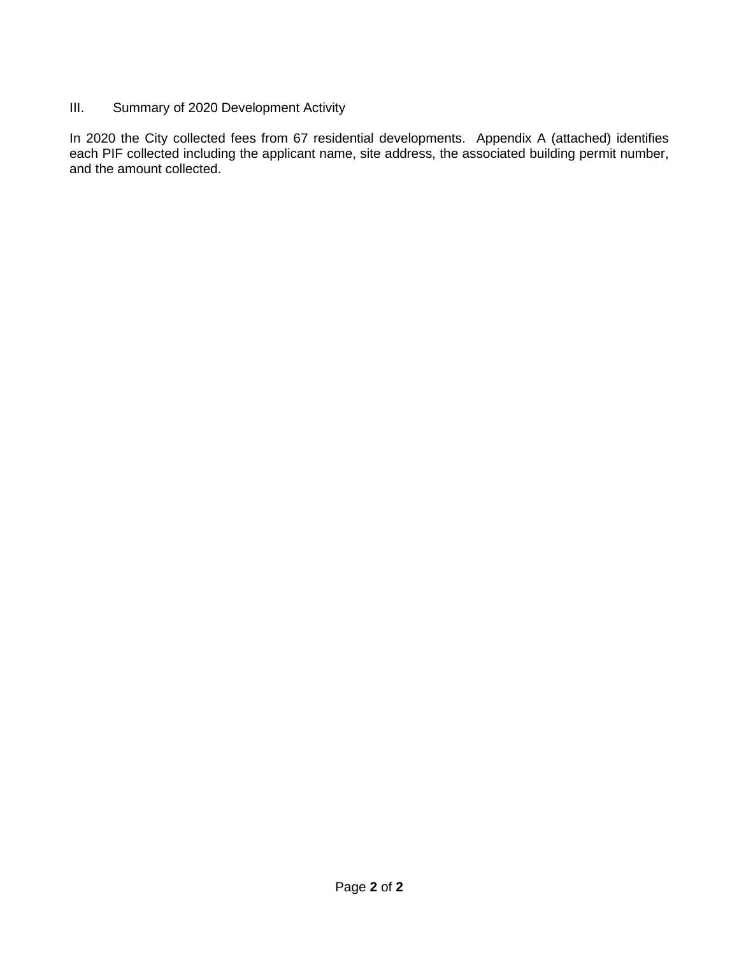### III. Summary of 2020 Development Activity

In 2020 the City collected fees from 67 residential developments. Appendix A (attached) identifies each PIF collected including the applicant name, site address, the associated building permit number, and the amount collected.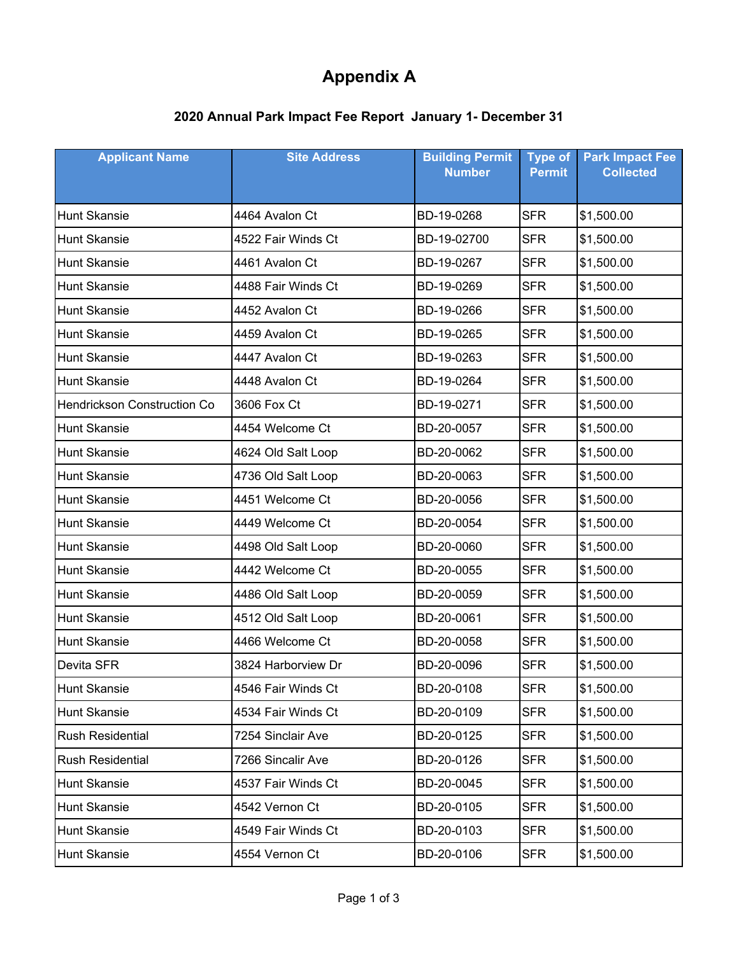# **Appendix A**

## **2020 Annual Park Impact Fee Report January 1- December 31**

| <b>Applicant Name</b>       | <b>Site Address</b> | <b>Building Permit</b><br><b>Number</b> | <b>Type of</b><br><b>Permit</b> | <b>Park Impact Fee</b><br><b>Collected</b> |
|-----------------------------|---------------------|-----------------------------------------|---------------------------------|--------------------------------------------|
|                             |                     |                                         |                                 |                                            |
| <b>Hunt Skansie</b>         | 4464 Avalon Ct      | BD-19-0268                              | <b>SFR</b>                      | \$1,500.00                                 |
| <b>Hunt Skansie</b>         | 4522 Fair Winds Ct  | BD-19-02700                             | <b>SFR</b>                      | \$1,500.00                                 |
| <b>Hunt Skansie</b>         | 4461 Avalon Ct      | BD-19-0267                              | <b>SFR</b>                      | \$1,500.00                                 |
| <b>Hunt Skansie</b>         | 4488 Fair Winds Ct  | BD-19-0269                              | <b>SFR</b>                      | \$1,500.00                                 |
| <b>Hunt Skansie</b>         | 4452 Avalon Ct      | BD-19-0266                              | <b>SFR</b>                      | \$1,500.00                                 |
| <b>Hunt Skansie</b>         | 4459 Avalon Ct      | BD-19-0265                              | <b>SFR</b>                      | \$1,500.00                                 |
| <b>Hunt Skansie</b>         | 4447 Avalon Ct      | BD-19-0263                              | <b>SFR</b>                      | \$1,500.00                                 |
| <b>Hunt Skansie</b>         | 4448 Avalon Ct      | BD-19-0264                              | <b>SFR</b>                      | \$1,500.00                                 |
| Hendrickson Construction Co | 3606 Fox Ct         | BD-19-0271                              | <b>SFR</b>                      | \$1,500.00                                 |
| <b>Hunt Skansie</b>         | 4454 Welcome Ct     | BD-20-0057                              | <b>SFR</b>                      | \$1,500.00                                 |
| <b>Hunt Skansie</b>         | 4624 Old Salt Loop  | BD-20-0062                              | <b>SFR</b>                      | \$1,500.00                                 |
| <b>Hunt Skansie</b>         | 4736 Old Salt Loop  | BD-20-0063                              | <b>SFR</b>                      | \$1,500.00                                 |
| <b>Hunt Skansie</b>         | 4451 Welcome Ct     | BD-20-0056                              | <b>SFR</b>                      | \$1,500.00                                 |
| <b>Hunt Skansie</b>         | 4449 Welcome Ct     | BD-20-0054                              | <b>SFR</b>                      | \$1,500.00                                 |
| <b>Hunt Skansie</b>         | 4498 Old Salt Loop  | BD-20-0060                              | <b>SFR</b>                      | \$1,500.00                                 |
| <b>Hunt Skansie</b>         | 4442 Welcome Ct     | BD-20-0055                              | <b>SFR</b>                      | \$1,500.00                                 |
| <b>Hunt Skansie</b>         | 4486 Old Salt Loop  | BD-20-0059                              | <b>SFR</b>                      | \$1,500.00                                 |
| <b>Hunt Skansie</b>         | 4512 Old Salt Loop  | BD-20-0061                              | <b>SFR</b>                      | \$1,500.00                                 |
| <b>Hunt Skansie</b>         | 4466 Welcome Ct     | BD-20-0058                              | <b>SFR</b>                      | \$1,500.00                                 |
| Devita SFR                  | 3824 Harborview Dr  | BD-20-0096                              | <b>SFR</b>                      | \$1,500.00                                 |
| Hunt Skansie                | 4546 Fair Winds Ct  | BD-20-0108                              | <b>SFR</b>                      | \$1,500.00                                 |
| <b>Hunt Skansie</b>         | 4534 Fair Winds Ct  | BD-20-0109                              | <b>SFR</b>                      | \$1,500.00                                 |
| <b>Rush Residential</b>     | 7254 Sinclair Ave   | BD-20-0125                              | <b>SFR</b>                      | \$1,500.00                                 |
| <b>Rush Residential</b>     | 7266 Sincalir Ave   | BD-20-0126                              | <b>SFR</b>                      | \$1,500.00                                 |
| <b>Hunt Skansie</b>         | 4537 Fair Winds Ct  | BD-20-0045                              | <b>SFR</b>                      | \$1,500.00                                 |
| <b>Hunt Skansie</b>         | 4542 Vernon Ct      | BD-20-0105                              | <b>SFR</b>                      | \$1,500.00                                 |
| <b>Hunt Skansie</b>         | 4549 Fair Winds Ct  | BD-20-0103                              | <b>SFR</b>                      | \$1,500.00                                 |
| Hunt Skansie                | 4554 Vernon Ct      | BD-20-0106                              | <b>SFR</b>                      | \$1,500.00                                 |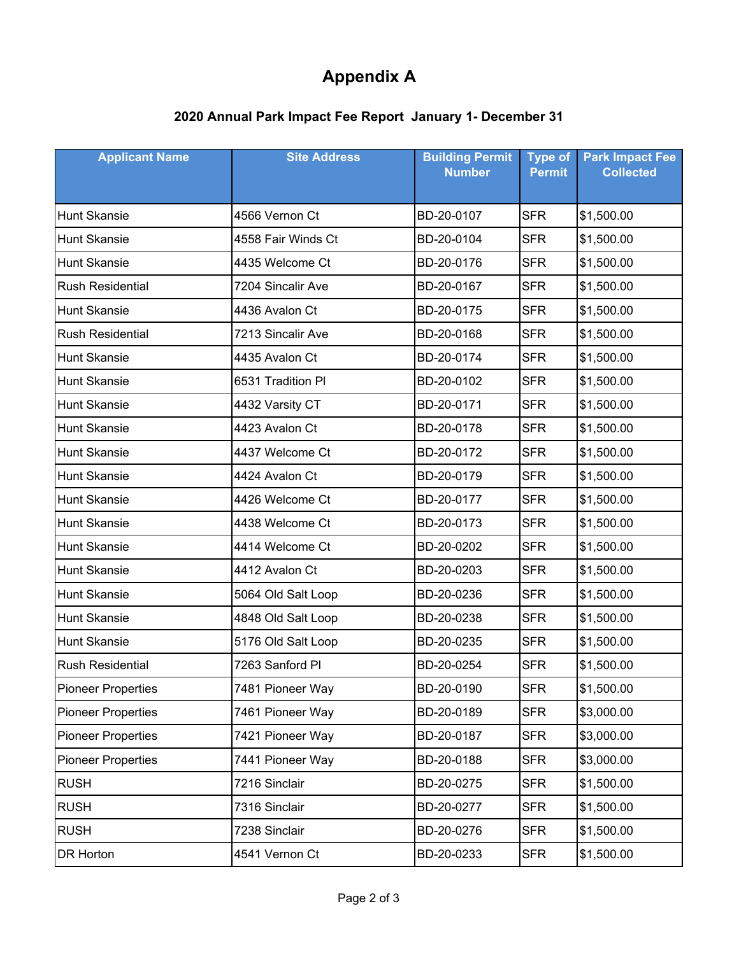# **Appendix A**

## **2020 Annual Park Impact Fee Report January 1- December 31**

| <b>Applicant Name</b>     | <b>Building Permit</b><br><b>Site Address</b><br><b>Number</b> |            | <b>Type of</b><br><b>Permit</b> | <b>Park Impact Fee</b><br><b>Collected</b> |
|---------------------------|----------------------------------------------------------------|------------|---------------------------------|--------------------------------------------|
|                           |                                                                |            |                                 |                                            |
| <b>Hunt Skansie</b>       | 4566 Vernon Ct                                                 | BD-20-0107 | <b>SFR</b>                      | \$1,500.00                                 |
| <b>Hunt Skansie</b>       | 4558 Fair Winds Ct                                             | BD-20-0104 | <b>SFR</b>                      | \$1,500.00                                 |
| <b>Hunt Skansie</b>       | 4435 Welcome Ct                                                | BD-20-0176 | <b>SFR</b>                      | \$1,500.00                                 |
| <b>Rush Residential</b>   | 7204 Sincalir Ave                                              | BD-20-0167 | <b>SFR</b>                      | \$1,500.00                                 |
| <b>Hunt Skansie</b>       | 4436 Avalon Ct                                                 | BD-20-0175 | <b>SFR</b>                      | \$1,500.00                                 |
| <b>Rush Residential</b>   | 7213 Sincalir Ave                                              | BD-20-0168 | <b>SFR</b>                      | \$1,500.00                                 |
| <b>Hunt Skansie</b>       | 4435 Avalon Ct                                                 | BD-20-0174 | <b>SFR</b>                      | \$1,500.00                                 |
| <b>Hunt Skansie</b>       | 6531 Tradition Pl                                              | BD-20-0102 | <b>SFR</b>                      | \$1,500.00                                 |
| <b>Hunt Skansie</b>       | 4432 Varsity CT                                                | BD-20-0171 | <b>SFR</b>                      | \$1,500.00                                 |
| <b>Hunt Skansie</b>       | 4423 Avalon Ct                                                 | BD-20-0178 | <b>SFR</b>                      | \$1,500.00                                 |
| <b>Hunt Skansie</b>       | 4437 Welcome Ct                                                | BD-20-0172 | <b>SFR</b>                      | \$1,500.00                                 |
| <b>Hunt Skansie</b>       | 4424 Avalon Ct                                                 | BD-20-0179 | <b>SFR</b>                      | \$1,500.00                                 |
| <b>Hunt Skansie</b>       | 4426 Welcome Ct                                                | BD-20-0177 | <b>SFR</b>                      | \$1,500.00                                 |
| <b>Hunt Skansie</b>       | 4438 Welcome Ct                                                | BD-20-0173 | <b>SFR</b>                      | \$1,500.00                                 |
| <b>Hunt Skansie</b>       | 4414 Welcome Ct                                                | BD-20-0202 | <b>SFR</b>                      | \$1,500.00                                 |
| <b>Hunt Skansie</b>       | 4412 Avalon Ct                                                 | BD-20-0203 | <b>SFR</b>                      | \$1,500.00                                 |
| <b>Hunt Skansie</b>       | 5064 Old Salt Loop                                             | BD-20-0236 | <b>SFR</b>                      | \$1,500.00                                 |
| <b>Hunt Skansie</b>       | 4848 Old Salt Loop                                             | BD-20-0238 | <b>SFR</b>                      | \$1,500.00                                 |
| <b>Hunt Skansie</b>       | 5176 Old Salt Loop                                             | BD-20-0235 | <b>SFR</b>                      | \$1,500.00                                 |
| <b>Rush Residential</b>   | 7263 Sanford Pl                                                | BD-20-0254 | <b>SFR</b>                      | \$1,500.00                                 |
| <b>Pioneer Properties</b> | 7481 Pioneer Way                                               | BD-20-0190 | <b>SFR</b>                      | \$1,500.00                                 |
| <b>Pioneer Properties</b> | 7461 Pioneer Way                                               | BD-20-0189 | <b>SFR</b>                      | \$3,000.00                                 |
| <b>Pioneer Properties</b> | 7421 Pioneer Way                                               | BD-20-0187 | <b>SFR</b>                      | \$3,000.00                                 |
| <b>Pioneer Properties</b> | 7441 Pioneer Way                                               | BD-20-0188 | <b>SFR</b>                      | \$3,000.00                                 |
| <b>RUSH</b>               | 7216 Sinclair                                                  | BD-20-0275 | <b>SFR</b>                      | \$1,500.00                                 |
| <b>RUSH</b>               | 7316 Sinclair                                                  | BD-20-0277 | <b>SFR</b>                      | \$1,500.00                                 |
| <b>RUSH</b>               | 7238 Sinclair                                                  | BD-20-0276 | <b>SFR</b>                      | \$1,500.00                                 |
| DR Horton                 | 4541 Vernon Ct                                                 | BD-20-0233 | <b>SFR</b>                      | \$1,500.00                                 |